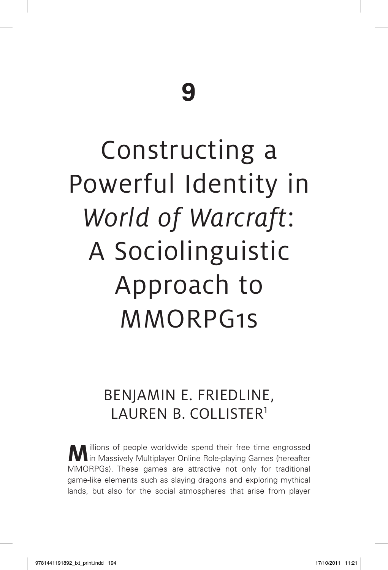# Constructing a Powerful Identity in World of Warcraft: A Sociolinguistic Approach to MMORPG1s

## Benjamin E. Friedline, LAUREN B. COLLISTER<sup>1</sup>

**M** illions of people worldwide spend their free time engrossed in Massively Multiplayer Online Role-playing Games (hereafter MMORPGs). These games are attractive not only for traditional game-like elements such as slaying dragons and exploring mythical lands, but also for the social atmospheres that arise from player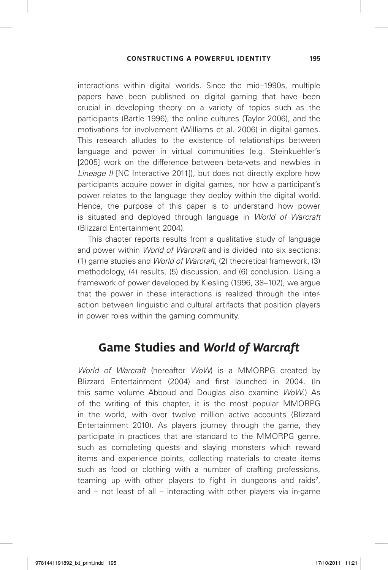#### **Constructing a Powerful Identity 195**

interactions within digital worlds. Since the mid–1990s, multiple papers have been published on digital gaming that have been crucial in developing theory on a variety of topics such as the participants (Bartle 1996), the online cultures (Taylor 2006), and the motivations for involvement (Williams et al. 2006) in digital games. This research alludes to the existence of relationships between language and power in virtual communities (e.g. Steinkuehler's [2005] work on the difference between beta-vets and newbies in *Lineage II* [NC Interactive 2011]), but does not directly explore how participants acquire power in digital games, nor how a participant's power relates to the language they deploy within the digital world. Hence, the purpose of this paper is to understand how power is situated and deployed through language in *World of Warcraft* (Blizzard Entertainment 2004).

This chapter reports results from a qualitative study of language and power within *World of Warcraft* and is divided into six sections: (1) game studies and *World of Warcraft*, (2) theoretical framework, (3) methodology, (4) results, (5) discussion, and (6) conclusion. Using a framework of power developed by Kiesling (1996, 38–102), we argue that the power in these interactions is realized through the interaction between linguistic and cultural artifacts that position players in power roles within the gaming community.

## **Game Studies and World of Warcraft**

*World of Warcraft* (hereafter *WoW*) is a MMORPG created by Blizzard Entertainment (2004) and first launched in 2004. (In this same volume Abboud and Douglas also examine *WoW*.) As of the writing of this chapter, it is the most popular MMORPG in the world, with over twelve million active accounts (Blizzard Entertainment 2010). As players journey through the game, they participate in practices that are standard to the MMORPG genre, such as completing quests and slaying monsters which reward items and experience points, collecting materials to create items such as food or clothing with a number of crafting professions, teaming up with other players to fight in dungeons and raids<sup>2</sup>, and – not least of all – interacting with other players via in-game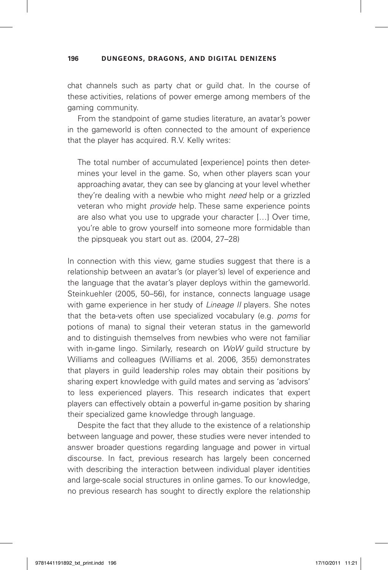chat channels such as party chat or guild chat. In the course of these activities, relations of power emerge among members of the gaming community.

From the standpoint of game studies literature, an avatar's power in the gameworld is often connected to the amount of experience that the player has acquired. R.V. Kelly writes:

The total number of accumulated [experience] points then determines your level in the game. So, when other players scan your approaching avatar, they can see by glancing at your level whether they're dealing with a newbie who might *need* help or a grizzled veteran who might *provide* help. These same experience points are also what you use to upgrade your character […] Over time, you're able to grow yourself into someone more formidable than the pipsqueak you start out as. (2004, 27–28)

In connection with this view, game studies suggest that there is a relationship between an avatar's (or player's) level of experience and the language that the avatar's player deploys within the gameworld. Steinkuehler (2005, 50–56), for instance, connects language usage with game experience in her study of *Lineage II* players. She notes that the beta-vets often use specialized vocabulary (e.g. *poms* for potions of mana) to signal their veteran status in the gameworld and to distinguish themselves from newbies who were not familiar with in-game lingo. Similarly, research on *WoW* guild structure by Williams and colleagues (Williams et al. 2006, 355) demonstrates that players in guild leadership roles may obtain their positions by sharing expert knowledge with guild mates and serving as 'advisors' to less experienced players. This research indicates that expert players can effectively obtain a powerful in-game position by sharing their specialized game knowledge through language.

Despite the fact that they allude to the existence of a relationship between language and power, these studies were never intended to answer broader questions regarding language and power in virtual discourse. In fact, previous research has largely been concerned with describing the interaction between individual player identities and large-scale social structures in online games. To our knowledge, no previous research has sought to directly explore the relationship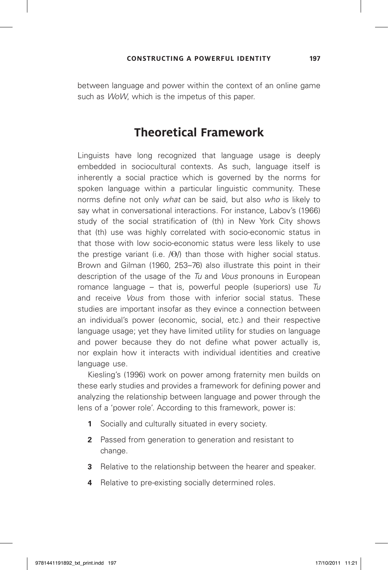between language and power within the context of an online game such as *WoW*, which is the impetus of this paper.

## **Theoretical Framework**

Linguists have long recognized that language usage is deeply embedded in sociocultural contexts. As such, language itself is inherently a social practice which is governed by the norms for spoken language within a particular linguistic community. These norms define not only *what* can be said, but also *who* is likely to say what in conversational interactions. For instance, Labov's (1966) study of the social stratification of (th) in New York City shows that (th) use was highly correlated with socio-economic status in that those with low socio-economic status were less likely to use the prestige variant (i.e.  $/\theta$ ) than those with higher social status. Brown and Gilman (1960, 253–76) also illustrate this point in their description of the usage of the *Tu* and *Vous* pronouns in European romance language – that is, powerful people (superiors) use *Tu* and receive *Vous* from those with inferior social status. These studies are important insofar as they evince a connection between an individual's power (economic, social, etc.) and their respective language usage; yet they have limited utility for studies on language and power because they do not define what power actually is, nor explain how it interacts with individual identities and creative language use.

Kiesling's (1996) work on power among fraternity men builds on these early studies and provides a framework for defining power and analyzing the relationship between language and power through the lens of a 'power role'. According to this framework, power is:

- **1** Socially and culturally situated in every society.
- **2** Passed from generation to generation and resistant to change.
- **3** Relative to the relationship between the hearer and speaker.
- **4** Relative to pre-existing socially determined roles.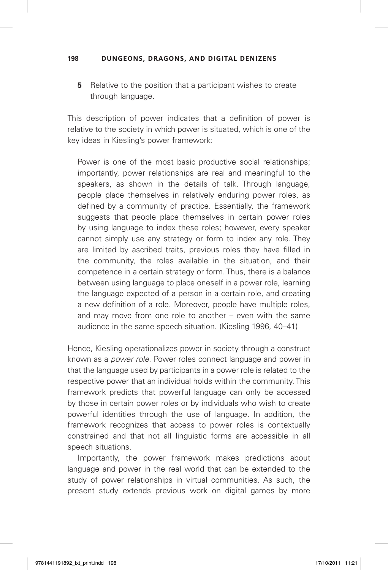**5** Relative to the position that a participant wishes to create through language.

This description of power indicates that a definition of power is relative to the society in which power is situated, which is one of the key ideas in Kiesling's power framework:

Power is one of the most basic productive social relationships; importantly, power relationships are real and meaningful to the speakers, as shown in the details of talk. Through language, people place themselves in relatively enduring power roles, as defined by a community of practice. Essentially, the framework suggests that people place themselves in certain power roles by using language to index these roles; however, every speaker cannot simply use any strategy or form to index any role. They are limited by ascribed traits, previous roles they have filled in the community, the roles available in the situation, and their competence in a certain strategy or form. Thus, there is a balance between using language to place oneself in a power role, learning the language expected of a person in a certain role, and creating a new definition of a role. Moreover, people have multiple roles, and may move from one role to another – even with the same audience in the same speech situation. (Kiesling 1996, 40–41)

Hence, Kiesling operationalizes power in society through a construct known as a *power role.* Power roles connect language and power in that the language used by participants in a power role is related to the respective power that an individual holds within the community. This framework predicts that powerful language can only be accessed by those in certain power roles or by individuals who wish to create powerful identities through the use of language. In addition, the framework recognizes that access to power roles is contextually constrained and that not all linguistic forms are accessible in all speech situations.

Importantly, the power framework makes predictions about language and power in the real world that can be extended to the study of power relationships in virtual communities. As such, the present study extends previous work on digital games by more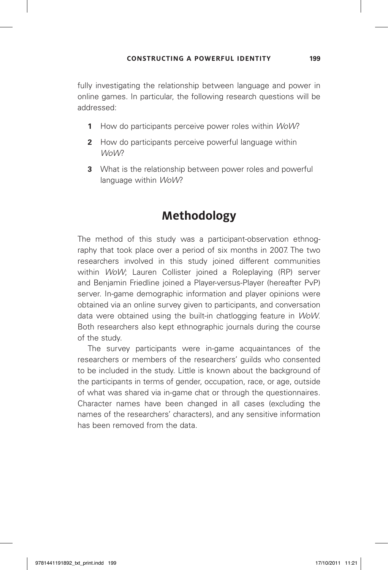fully investigating the relationship between language and power in online games. In particular, the following research questions will be addressed:

- **1** How do participants perceive power roles within *WoW*?
- **2** How do participants perceive powerful language within *WoW*?
- **3** What is the relationship between power roles and powerful language within *WoW*?

## **Methodology**

The method of this study was a participant-observation ethnography that took place over a period of six months in 2007. The two researchers involved in this study joined different communities within *WoW*; Lauren Collister joined a Roleplaying (RP) server and Benjamin Friedline joined a Player-versus-Player (hereafter PvP) server. In-game demographic information and player opinions were obtained via an online survey given to participants, and conversation data were obtained using the built-in chatlogging feature in *WoW*. Both researchers also kept ethnographic journals during the course of the study.

The survey participants were in-game acquaintances of the researchers or members of the researchers' guilds who consented to be included in the study. Little is known about the background of the participants in terms of gender, occupation, race, or age, outside of what was shared via in-game chat or through the questionnaires. Character names have been changed in all cases (excluding the names of the researchers' characters), and any sensitive information has been removed from the data.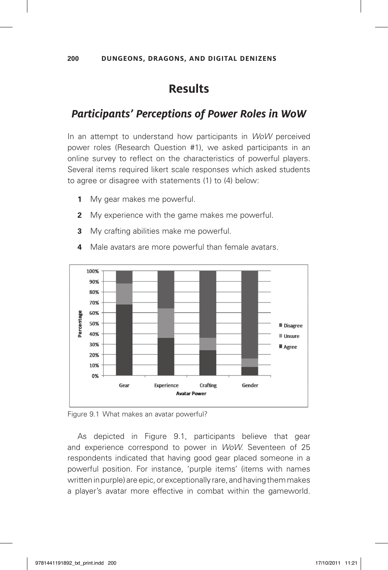## **Results**

## **Participants' Perceptions of Power Roles in WoW**

In an attempt to understand how participants in *WoW* perceived power roles (Research Question #1), we asked participants in an online survey to reflect on the characteristics of powerful players. Several items required likert scale responses which asked students to agree or disagree with statements (1) to (4) below:

- **1** My gear makes me powerful.
- **2** My experience with the game makes me powerful.
- **3** My crafting abilities make me powerful.



**4** Male avatars are more powerful than female avatars.



As depicted in Figure 9.1, participants believe that gear and experience correspond to power in *WoW.* Seventeen of 25 respondents indicated that having good gear placed someone in a powerful position. For instance, 'purple items' (items with names written in purple) are epic, or exceptionally rare, and having them makes a player's avatar more effective in combat within the gameworld.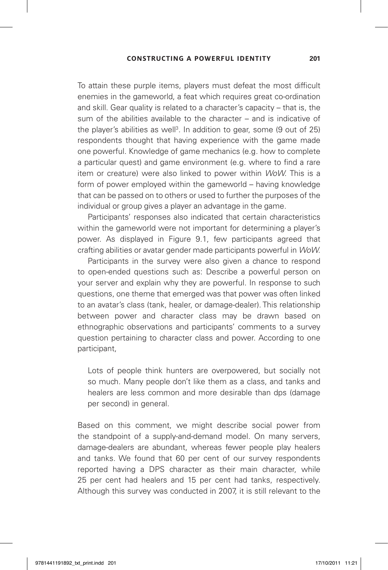To attain these purple items, players must defeat the most difficult enemies in the gameworld, a feat which requires great co-ordination and skill. Gear quality is related to a character's capacity – that is, the sum of the abilities available to the character – and is indicative of the player's abilities as well<sup>3</sup>. In addition to gear, some  $(9 \text{ out of } 25)$ respondents thought that having experience with the game made one powerful. Knowledge of game mechanics (e.g. how to complete a particular quest) and game environment (e.g. where to find a rare item or creature) were also linked to power within *WoW.* This is a form of power employed within the gameworld – having knowledge that can be passed on to others or used to further the purposes of the individual or group gives a player an advantage in the game.

Participants' responses also indicated that certain characteristics within the gameworld were not important for determining a player's power. As displayed in Figure 9.1, few participants agreed that crafting abilities or avatar gender made participants powerful in *WoW.*

Participants in the survey were also given a chance to respond to open-ended questions such as: Describe a powerful person on your server and explain why they are powerful. In response to such questions, one theme that emerged was that power was often linked to an avatar's class (tank, healer, or damage-dealer). This relationship between power and character class may be drawn based on ethnographic observations and participants' comments to a survey question pertaining to character class and power. According to one participant,

Lots of people think hunters are overpowered, but socially not so much. Many people don't like them as a class, and tanks and healers are less common and more desirable than dps (damage per second) in general.

Based on this comment, we might describe social power from the standpoint of a supply-and-demand model. On many servers, damage-dealers are abundant, whereas fewer people play healers and tanks. We found that 60 per cent of our survey respondents reported having a DPS character as their main character, while 25 per cent had healers and 15 per cent had tanks, respectively. Although this survey was conducted in 2007, it is still relevant to the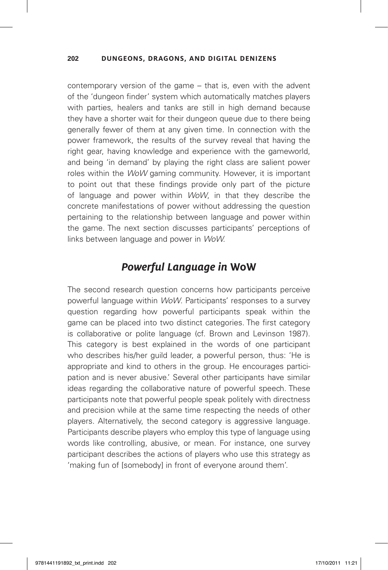contemporary version of the game – that is, even with the advent of the 'dungeon finder' system which automatically matches players with parties, healers and tanks are still in high demand because they have a shorter wait for their dungeon queue due to there being generally fewer of them at any given time. In connection with the power framework, the results of the survey reveal that having the right gear, having knowledge and experience with the gameworld, and being 'in demand' by playing the right class are salient power roles within the *WoW* gaming community. However, it is important to point out that these findings provide only part of the picture of language and power within *WoW*, in that they describe the concrete manifestations of power without addressing the question pertaining to the relationship between language and power within the game. The next section discusses participants' perceptions of links between language and power in *WoW.*

## **Powerful Language in WoW**

The second research question concerns how participants perceive powerful language within *WoW*. Participants' responses to a survey question regarding how powerful participants speak within the game can be placed into two distinct categories. The first category is collaborative or polite language (cf. Brown and Levinson 1987). This category is best explained in the words of one participant who describes his/her guild leader, a powerful person, thus: 'He is appropriate and kind to others in the group. He encourages participation and is never abusive.' Several other participants have similar ideas regarding the collaborative nature of powerful speech. These participants note that powerful people speak politely with directness and precision while at the same time respecting the needs of other players. Alternatively, the second category is aggressive language. Participants describe players who employ this type of language using words like controlling, abusive, or mean. For instance, one survey participant describes the actions of players who use this strategy as 'making fun of [somebody] in front of everyone around them'.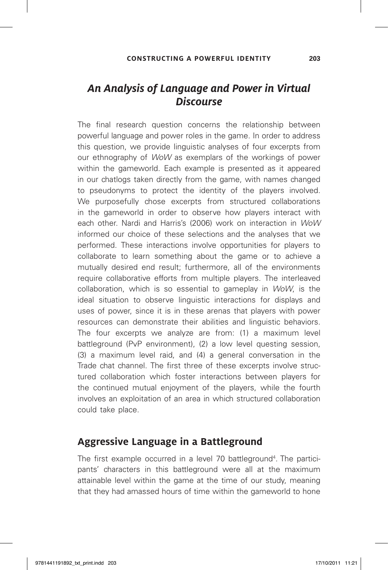## **An Analysis of Language and Power in Virtual Discourse**

The final research question concerns the relationship between powerful language and power roles in the game. In order to address this question, we provide linguistic analyses of four excerpts from our ethnography of *WoW* as exemplars of the workings of power within the gameworld. Each example is presented as it appeared in our chatlogs taken directly from the game, with names changed to pseudonyms to protect the identity of the players involved. We purposefully chose excerpts from structured collaborations in the gameworld in order to observe how players interact with each other. Nardi and Harris's (2006) work on interaction in *WoW*  informed our choice of these selections and the analyses that we performed. These interactions involve opportunities for players to collaborate to learn something about the game or to achieve a mutually desired end result; furthermore, all of the environments require collaborative efforts from multiple players. The interleaved collaboration, which is so essential to gameplay in *WoW*, is the ideal situation to observe linguistic interactions for displays and uses of power, since it is in these arenas that players with power resources can demonstrate their abilities and linguistic behaviors. The four excerpts we analyze are from: (1) a maximum level battleground (PvP environment), (2) a low level questing session, (3) a maximum level raid, and (4) a general conversation in the Trade chat channel. The first three of these excerpts involve structured collaboration which foster interactions between players for the continued mutual enjoyment of the players, while the fourth involves an exploitation of an area in which structured collaboration could take place.

## **Aggressive Language in a Battleground**

The first example occurred in a level 70 battleground<sup>4</sup>. The participants' characters in this battleground were all at the maximum attainable level within the game at the time of our study, meaning that they had amassed hours of time within the gameworld to hone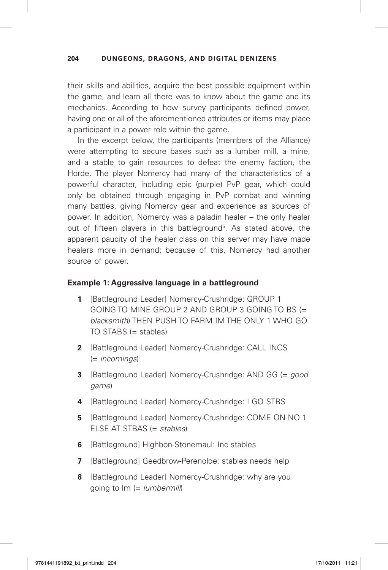their skills and abilities, acquire the best possible equipment within the game, and learn all there was to know about the game and its mechanics. According to how survey participants defined power, having one or all of the aforementioned attributes or items may place a participant in a power role within the game.

In the excerpt below, the participants (members of the Alliance) were attempting to secure bases such as a lumber mill, a mine, and a stable to gain resources to defeat the enemy faction, the Horde. The player Nomercy had many of the characteristics of a powerful character, including epic (purple) PvP gear, which could only be obtained through engaging in PvP combat and winning many battles, giving Nomercy gear and experience as sources of power. In addition, Nomercy was a paladin healer – the only healer out of fifteen players in this battleground<sup>5</sup>. As stated above, the apparent paucity of the healer class on this server may have made healers more in demand; because of this, Nomercy had another source of power.

#### **Example 1: Aggressive language in a battleground**

- **1** [Battleground Leader] Nomercy-Crushridge: GROUP 1 GOING TO MINE GROUP 2 AND GROUP 3 GOING TO BS (= *blacksmith*) THEN PUSH TO FARM IM THE ONLY 1 WHO GO TO STABS (= stables)
- **2** [Battleground Leader] Nomercy-Crushridge: CALL INCS (= *incomings*)
- **3** [Battleground Leader] Nomercy-Crushridge: AND GG (= *good game*)
- **4** [Battleground Leader] Nomercy-Crushridge: I GO STBS
- **5** [Battleground Leader] Nomercy-Crushridge: COME ON NO 1 ELSE AT STBAS (= *stables*)
- **6** [Battleground] Highbon-Stonemaul: Inc stables
- **7** [Battleground] Geedbrow-Perenolde: stables needs help
- **8** [Battleground Leader] Nomercy-Crushridge: why are you going to lm (= *lumbermill*)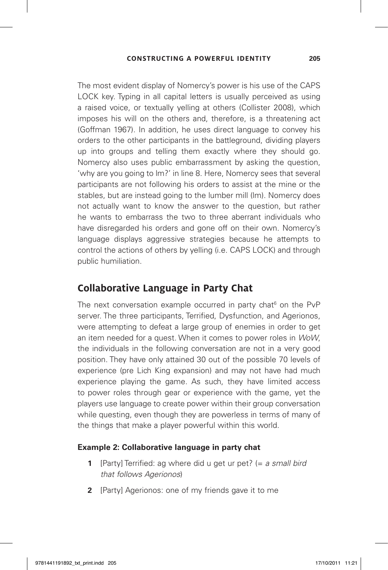The most evident display of Nomercy's power is his use of the CAPS LOCK key. Typing in all capital letters is usually perceived as using a raised voice, or textually yelling at others (Collister 2008), which imposes his will on the others and, therefore, is a threatening act (Goffman 1967). In addition, he uses direct language to convey his orders to the other participants in the battleground, dividing players up into groups and telling them exactly where they should go. Nomercy also uses public embarrassment by asking the question, 'why are you going to lm?' in line 8. Here, Nomercy sees that several participants are not following his orders to assist at the mine or the stables, but are instead going to the lumber mill (lm). Nomercy does not actually want to know the answer to the question, but rather he wants to embarrass the two to three aberrant individuals who have disregarded his orders and gone off on their own. Nomercy's language displays aggressive strategies because he attempts to control the actions of others by yelling (i.e. CAPS LOCK) and through public humiliation.

## **Collaborative Language in Party Chat**

The next conversation example occurred in party chat<sup>6</sup> on the PvP server. The three participants, Terrified, Dysfunction, and Agerionos, were attempting to defeat a large group of enemies in order to get an item needed for a quest. When it comes to power roles in *WoW*, the individuals in the following conversation are not in a very good position. They have only attained 30 out of the possible 70 levels of experience (pre Lich King expansion) and may not have had much experience playing the game. As such, they have limited access to power roles through gear or experience with the game, yet the players use language to create power within their group conversation while questing, even though they are powerless in terms of many of the things that make a player powerful within this world.

#### **Example 2: Collaborative language in party chat**

- **1** [Party] Terrified: ag where did u get ur pet? (= *a small bird that follows Agerionos*)
- **2** [Party] Agerionos: one of my friends gave it to me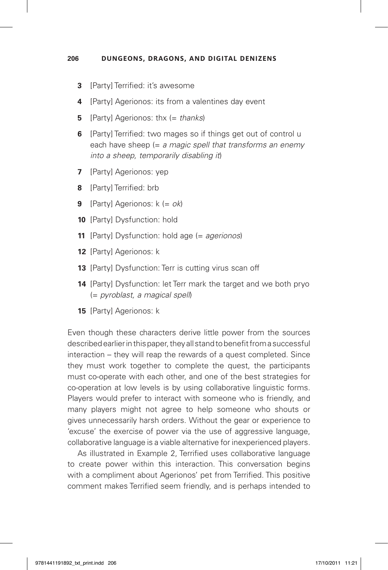- **3** [Party] Terrified: it's awesome
- **4** [Party] Agerionos: its from a valentines day event
- **5** [Party] Agerionos: thx (= *thanks*)
- **6** [Party] Terrified: two mages so if things get out of control u each have sheep (= *a magic spell that transforms an enemy into a sheep, temporarily disabling it*)
- **7** [Party] Agerionos: yep
- **8** [Party] Terrified: brb
- **9** [Party] Agerionos: k (= *ok*)
- **10** [Party] Dysfunction: hold
- **11** [Party] Dysfunction: hold age (= *agerionos*)
- **12** [Party] Agerionos: k
- **13** [Party] Dysfunction: Terr is cutting virus scan off
- **14** [Party] Dysfunction: let Terr mark the target and we both pryo (= *pyroblast, a magical spell*)
- **15** [Party] Agerionos: k

Even though these characters derive little power from the sources described earlier in this paper, they all stand to benefit from a successful interaction – they will reap the rewards of a quest completed. Since they must work together to complete the quest, the participants must co-operate with each other, and one of the best strategies for co-operation at low levels is by using collaborative linguistic forms. Players would prefer to interact with someone who is friendly, and many players might not agree to help someone who shouts or gives unnecessarily harsh orders. Without the gear or experience to 'excuse' the exercise of power via the use of aggressive language, collaborative language is a viable alternative for inexperienced players.

As illustrated in Example 2, Terrified uses collaborative language to create power within this interaction. This conversation begins with a compliment about Agerionos' pet from Terrified. This positive comment makes Terrified seem friendly, and is perhaps intended to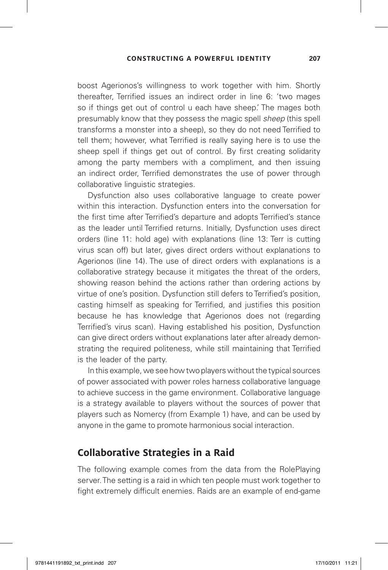#### **Constructing a Powerful Identity 207**

boost Agerionos's willingness to work together with him. Shortly thereafter, Terrified issues an indirect order in line 6: 'two mages so if things get out of control u each have sheep.' The mages both presumably know that they possess the magic spell *sheep* (this spell transforms a monster into a sheep), so they do not need Terrified to tell them; however, what Terrified is really saying here is to use the sheep spell if things get out of control. By first creating solidarity among the party members with a compliment, and then issuing an indirect order, Terrified demonstrates the use of power through collaborative linguistic strategies.

Dysfunction also uses collaborative language to create power within this interaction. Dysfunction enters into the conversation for the first time after Terrified's departure and adopts Terrified's stance as the leader until Terrified returns. Initially, Dysfunction uses direct orders (line 11: hold age) with explanations (line 13: Terr is cutting virus scan off) but later, gives direct orders without explanations to Agerionos (line 14). The use of direct orders with explanations is a collaborative strategy because it mitigates the threat of the orders, showing reason behind the actions rather than ordering actions by virtue of one's position. Dysfunction still defers to Terrified's position, casting himself as speaking for Terrified, and justifies this position because he has knowledge that Agerionos does not (regarding Terrified's virus scan). Having established his position, Dysfunction can give direct orders without explanations later after already demonstrating the required politeness, while still maintaining that Terrified is the leader of the party.

In this example, we see how two players without the typical sources of power associated with power roles harness collaborative language to achieve success in the game environment. Collaborative language is a strategy available to players without the sources of power that players such as Nomercy (from Example 1) have, and can be used by anyone in the game to promote harmonious social interaction.

### **Collaborative Strategies in a Raid**

The following example comes from the data from the RolePlaying server. The setting is a raid in which ten people must work together to fight extremely difficult enemies. Raids are an example of end-game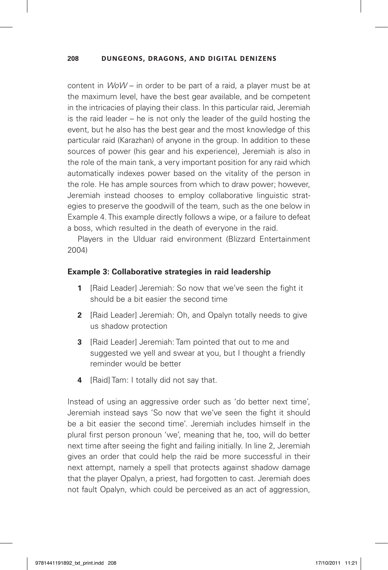content in *WoW* – in order to be part of a raid, a player must be at the maximum level, have the best gear available, and be competent in the intricacies of playing their class. In this particular raid, Jeremiah is the raid leader – he is not only the leader of the guild hosting the event, but he also has the best gear and the most knowledge of this particular raid (Karazhan) of anyone in the group. In addition to these sources of power (his gear and his experience), Jeremiah is also in the role of the main tank, a very important position for any raid which automatically indexes power based on the vitality of the person in the role. He has ample sources from which to draw power; however, Jeremiah instead chooses to employ collaborative linguistic strategies to preserve the goodwill of the team, such as the one below in Example 4. This example directly follows a wipe, or a failure to defeat a boss, which resulted in the death of everyone in the raid.

Players in the Ulduar raid environment (Blizzard Entertainment 2004)

#### **Example 3: Collaborative strategies in raid leadership**

- **1** [Raid Leader] Jeremiah: So now that we've seen the fight it should be a bit easier the second time
- **2** [Raid Leader] Jeremiah: Oh, and Opalyn totally needs to give us shadow protection
- **3** [Raid Leader] Jeremiah: Tam pointed that out to me and suggested we yell and swear at you, but I thought a friendly reminder would be better
- **4** [Raid] Tam: I totally did not say that.

Instead of using an aggressive order such as 'do better next time', Jeremiah instead says 'So now that we've seen the fight it should be a bit easier the second time'. Jeremiah includes himself in the plural first person pronoun 'we', meaning that he, too, will do better next time after seeing the fight and failing initially. In line 2, Jeremiah gives an order that could help the raid be more successful in their next attempt, namely a spell that protects against shadow damage that the player Opalyn, a priest, had forgotten to cast. Jeremiah does not fault Opalyn, which could be perceived as an act of aggression,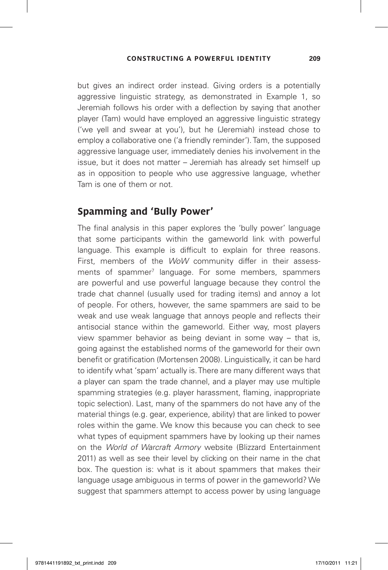#### **Constructing a Powerful Identity 209**

but gives an indirect order instead. Giving orders is a potentially aggressive linguistic strategy, as demonstrated in Example 1, so Jeremiah follows his order with a deflection by saying that another player (Tam) would have employed an aggressive linguistic strategy ('we yell and swear at you'), but he (Jeremiah) instead chose to employ a collaborative one ('a friendly reminder'). Tam, the supposed aggressive language user, immediately denies his involvement in the issue, but it does not matter – Jeremiah has already set himself up as in opposition to people who use aggressive language, whether Tam is one of them or not.

## **Spamming and 'Bully Power'**

The final analysis in this paper explores the 'bully power' language that some participants within the gameworld link with powerful language. This example is difficult to explain for three reasons. First, members of the *WoW* community differ in their assessments of spammer<sup>7</sup> language. For some members, spammers are powerful and use powerful language because they control the trade chat channel (usually used for trading items) and annoy a lot of people. For others, however, the same spammers are said to be weak and use weak language that annoys people and reflects their antisocial stance within the gameworld. Either way, most players view spammer behavior as being deviant in some way – that is, going against the established norms of the gameworld for their own benefit or gratification (Mortensen 2008). Linguistically, it can be hard to identify what 'spam' actually is. There are many different ways that a player can spam the trade channel, and a player may use multiple spamming strategies (e.g. player harassment, flaming, inappropriate topic selection). Last, many of the spammers do not have any of the material things (e.g. gear, experience, ability) that are linked to power roles within the game. We know this because you can check to see what types of equipment spammers have by looking up their names on the *World of Warcraft Armory* website (Blizzard Entertainment 2011) as well as see their level by clicking on their name in the chat box. The question is: what is it about spammers that makes their language usage ambiguous in terms of power in the gameworld? We suggest that spammers attempt to access power by using language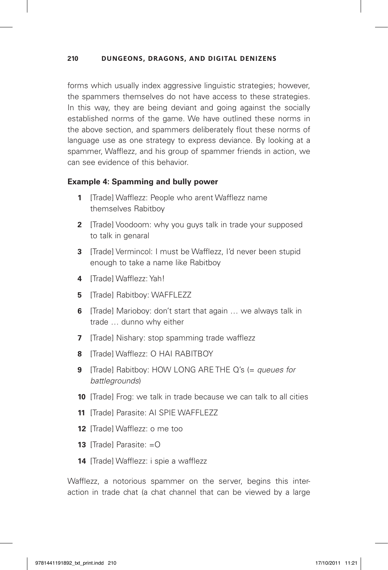forms which usually index aggressive linguistic strategies; however, the spammers themselves do not have access to these strategies. In this way, they are being deviant and going against the socially established norms of the game. We have outlined these norms in the above section, and spammers deliberately flout these norms of language use as one strategy to express deviance. By looking at a spammer, Wafflezz, and his group of spammer friends in action, we can see evidence of this behavior.

#### **Example 4: Spamming and bully power**

- **1** [Trade] Wafflezz: People who arent Wafflezz name themselves Rabitboy
- **2** [Trade] Voodoom: why you guys talk in trade your supposed to talk in genaral
- **3** [Trade] Vermincol: I must be Wafflezz, I'd never been stupid enough to take a name like Rabitboy
- **4** [Trade] Wafflezz: Yah!
- **5** [Trade] Rabitboy: WAFFLEZZ
- **6** [Trade] Marioboy: don't start that again … we always talk in trade … dunno why either
- **7** [Trade] Nishary: stop spamming trade wafflezz
- **8** [Trade] Wafflezz: O HAI RABITBOY
- **9** [Trade] Rabitboy: HOW LONG ARE THE Q's (= *queues for battlegrounds*)
- **10** [Trade] Frog: we talk in trade because we can talk to all cities
- **11** [Trade] Parasite: AI SPIE WAFFLEZZ
- **12** [Trade] Wafflezz: o me too
- **13 [Trade]** Parasite:  $=$  O
- **14** [Trade] Wafflezz: i spie a wafflezz

Wafflezz, a notorious spammer on the server, begins this interaction in trade chat (a chat channel that can be viewed by a large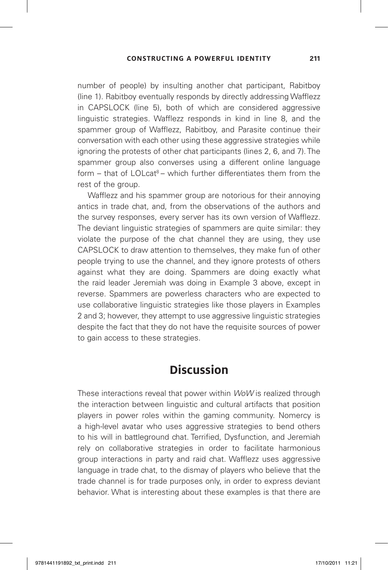number of people) by insulting another chat participant, Rabitboy (line 1). Rabitboy eventually responds by directly addressing Wafflezz in CAPSLOCK (line 5), both of which are considered aggressive linguistic strategies. Wafflezz responds in kind in line 8, and the spammer group of Wafflezz, Rabitboy, and Parasite continue their conversation with each other using these aggressive strategies while ignoring the protests of other chat participants (lines 2, 6, and 7). The spammer group also converses using a different online language form  $-$  that of LOLcat<sup>8</sup> – which further differentiates them from the rest of the group.

Wafflezz and his spammer group are notorious for their annoying antics in trade chat, and, from the observations of the authors and the survey responses, every server has its own version of Wafflezz. The deviant linguistic strategies of spammers are quite similar: they violate the purpose of the chat channel they are using, they use CAPSLOCK to draw attention to themselves, they make fun of other people trying to use the channel, and they ignore protests of others against what they are doing. Spammers are doing exactly what the raid leader Jeremiah was doing in Example 3 above, except in reverse. Spammers are powerless characters who are expected to use collaborative linguistic strategies like those players in Examples 2 and 3; however, they attempt to use aggressive linguistic strategies despite the fact that they do not have the requisite sources of power to gain access to these strategies.

## **Discussion**

These interactions reveal that power within *WoW* is realized through the interaction between linguistic and cultural artifacts that position players in power roles within the gaming community. Nomercy is a high-level avatar who uses aggressive strategies to bend others to his will in battleground chat. Terrified, Dysfunction, and Jeremiah rely on collaborative strategies in order to facilitate harmonious group interactions in party and raid chat. Wafflezz uses aggressive language in trade chat, to the dismay of players who believe that the trade channel is for trade purposes only, in order to express deviant behavior. What is interesting about these examples is that there are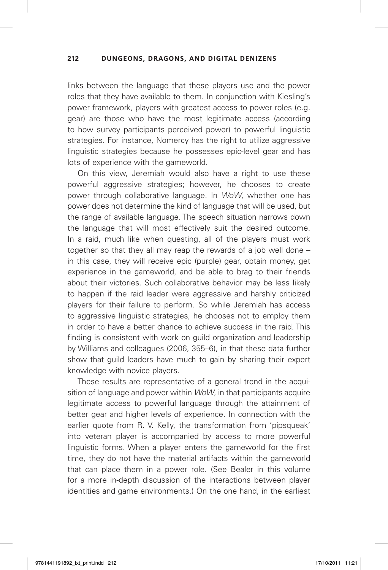links between the language that these players use and the power roles that they have available to them. In conjunction with Kiesling's power framework, players with greatest access to power roles (e.g. gear) are those who have the most legitimate access (according to how survey participants perceived power) to powerful linguistic strategies. For instance, Nomercy has the right to utilize aggressive linguistic strategies because he possesses epic-level gear and has lots of experience with the gameworld.

On this view, Jeremiah would also have a right to use these powerful aggressive strategies; however, he chooses to create power through collaborative language. In *WoW*, whether one has power does not determine the kind of language that will be used, but the range of available language. The speech situation narrows down the language that will most effectively suit the desired outcome. In a raid, much like when questing, all of the players must work together so that they all may reap the rewards of a job well done – in this case, they will receive epic (purple) gear, obtain money, get experience in the gameworld, and be able to brag to their friends about their victories. Such collaborative behavior may be less likely to happen if the raid leader were aggressive and harshly criticized players for their failure to perform. So while Jeremiah has access to aggressive linguistic strategies, he chooses not to employ them in order to have a better chance to achieve success in the raid. This finding is consistent with work on guild organization and leadership by Williams and colleagues (2006, 355–6), in that these data further show that guild leaders have much to gain by sharing their expert knowledge with novice players.

These results are representative of a general trend in the acquisition of language and power within *WoW*, in that participants acquire legitimate access to powerful language through the attainment of better gear and higher levels of experience. In connection with the earlier quote from R. V. Kelly, the transformation from 'pipsqueak' into veteran player is accompanied by access to more powerful linguistic forms. When a player enters the gameworld for the first time, they do not have the material artifacts within the gameworld that can place them in a power role. (See Bealer in this volume for a more in-depth discussion of the interactions between player identities and game environments.) On the one hand, in the earliest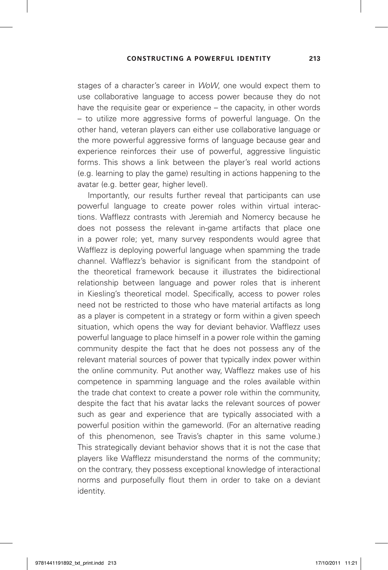stages of a character's career in *WoW*, one would expect them to use collaborative language to access power because they do not have the requisite gear or experience – the capacity, in other words – to utilize more aggressive forms of powerful language. On the other hand, veteran players can either use collaborative language or the more powerful aggressive forms of language because gear and experience reinforces their use of powerful, aggressive linguistic forms. This shows a link between the player's real world actions (e.g. learning to play the game) resulting in actions happening to the avatar (e.g. better gear, higher level).

Importantly, our results further reveal that participants can use powerful language to create power roles within virtual interactions. Wafflezz contrasts with Jeremiah and Nomercy because he does not possess the relevant in-game artifacts that place one in a power role; yet, many survey respondents would agree that Wafflezz is deploying powerful language when spamming the trade channel. Wafflezz's behavior is significant from the standpoint of the theoretical framework because it illustrates the bidirectional relationship between language and power roles that is inherent in Kiesling's theoretical model. Specifically, access to power roles need not be restricted to those who have material artifacts as long as a player is competent in a strategy or form within a given speech situation, which opens the way for deviant behavior. Wafflezz uses powerful language to place himself in a power role within the gaming community despite the fact that he does not possess any of the relevant material sources of power that typically index power within the online community. Put another way, Wafflezz makes use of his competence in spamming language and the roles available within the trade chat context to create a power role within the community, despite the fact that his avatar lacks the relevant sources of power such as gear and experience that are typically associated with a powerful position within the gameworld. (For an alternative reading of this phenomenon, see Travis's chapter in this same volume.) This strategically deviant behavior shows that it is not the case that players like Wafflezz misunderstand the norms of the community; on the contrary, they possess exceptional knowledge of interactional norms and purposefully flout them in order to take on a deviant identity.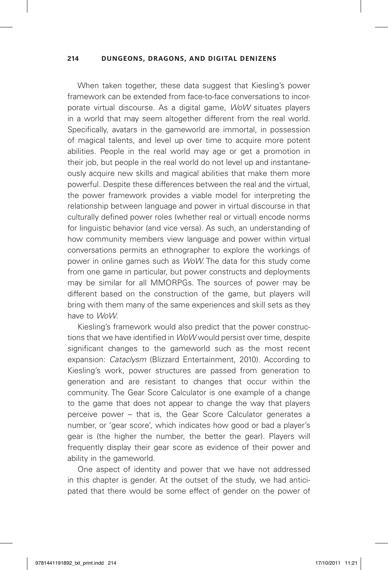When taken together, these data suggest that Kiesling's power framework can be extended from face-to-face conversations to incorporate virtual discourse. As a digital game, *WoW* situates players in a world that may seem altogether different from the real world. Specifically, avatars in the gameworld are immortal, in possession of magical talents, and level up over time to acquire more potent abilities. People in the real world may age or get a promotion in their job, but people in the real world do not level up and instantaneously acquire new skills and magical abilities that make them more powerful. Despite these differences between the real and the virtual, the power framework provides a viable model for interpreting the relationship between language and power in virtual discourse in that culturally defined power roles (whether real or virtual) encode norms for linguistic behavior (and vice versa). As such, an understanding of how community members view language and power within virtual conversations permits an ethnographer to explore the workings of power in online games such as *WoW.* The data for this study come from one game in particular, but power constructs and deployments may be similar for all MMORPGs. The sources of power may be different based on the construction of the game, but players will bring with them many of the same experiences and skill sets as they have to *WoW*.

Kiesling's framework would also predict that the power constructions that we have identified in *WoW* would persist over time, despite significant changes to the gameworld such as the most recent expansion: *Cataclysm* (Blizzard Entertainment, 2010). According to Kiesling's work, power structures are passed from generation to generation and are resistant to changes that occur within the community. The Gear Score Calculator is one example of a change to the game that does not appear to change the way that players perceive power – that is, the Gear Score Calculator generates a number, or 'gear score', which indicates how good or bad a player's gear is (the higher the number, the better the gear). Players will frequently display their gear score as evidence of their power and ability in the gameworld.

One aspect of identity and power that we have not addressed in this chapter is gender. At the outset of the study, we had anticipated that there would be some effect of gender on the power of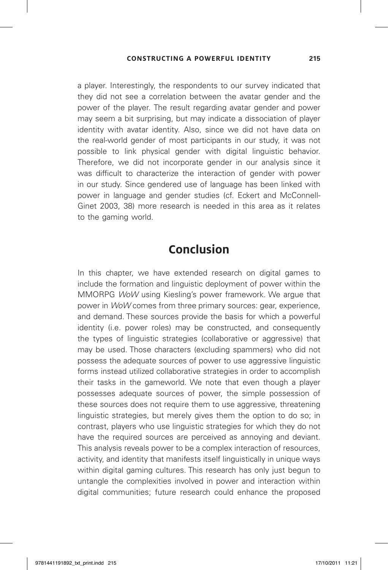a player. Interestingly, the respondents to our survey indicated that they did not see a correlation between the avatar gender and the power of the player. The result regarding avatar gender and power may seem a bit surprising, but may indicate a dissociation of player identity with avatar identity. Also, since we did not have data on the real-world gender of most participants in our study, it was not possible to link physical gender with digital linguistic behavior. Therefore, we did not incorporate gender in our analysis since it was difficult to characterize the interaction of gender with power in our study. Since gendered use of language has been linked with power in language and gender studies (cf. Eckert and McConnell-Ginet 2003, 38) more research is needed in this area as it relates to the gaming world.

## **Conclusion**

In this chapter, we have extended research on digital games to include the formation and linguistic deployment of power within the MMORPG *WoW* using Kiesling's power framework. We argue that power in *WoW* comes from three primary sources: gear, experience, and demand. These sources provide the basis for which a powerful identity (i.e. power roles) may be constructed, and consequently the types of linguistic strategies (collaborative or aggressive) that may be used. Those characters (excluding spammers) who did not possess the adequate sources of power to use aggressive linguistic forms instead utilized collaborative strategies in order to accomplish their tasks in the gameworld. We note that even though a player possesses adequate sources of power, the simple possession of these sources does not require them to use aggressive, threatening linguistic strategies, but merely gives them the option to do so; in contrast, players who use linguistic strategies for which they do not have the required sources are perceived as annoying and deviant. This analysis reveals power to be a complex interaction of resources, activity, and identity that manifests itself linguistically in unique ways within digital gaming cultures. This research has only just begun to untangle the complexities involved in power and interaction within digital communities; future research could enhance the proposed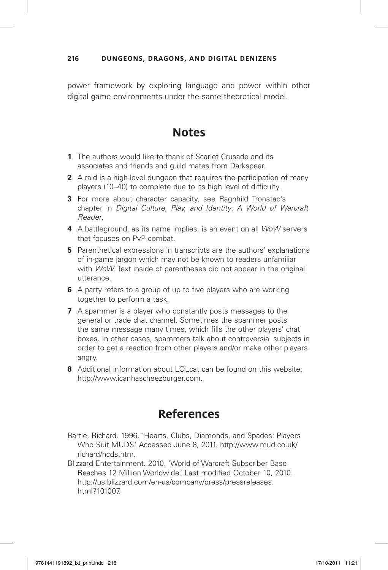power framework by exploring language and power within other digital game environments under the same theoretical model.

## **Notes**

- **1** The authors would like to thank of Scarlet Crusade and its associates and friends and guild mates from Darkspear.
- **2** A raid is a high-level dungeon that requires the participation of many players (10–40) to complete due to its high level of difficulty.
- **3** For more about character capacity, see Ragnhild Tronstad's chapter in *Digital Culture, Play, and Identity: A World of Warcraft Reader*.
- **4** A battleground, as its name implies, is an event on all *WoW* servers that focuses on PvP combat.
- **5** Parenthetical expressions in transcripts are the authors' explanations of in-game jargon which may not be known to readers unfamiliar with *WoW*. Text inside of parentheses did not appear in the original utterance.
- **6** A party refers to a group of up to five players who are working together to perform a task.
- **7** A spammer is a player who constantly posts messages to the general or trade chat channel. Sometimes the spammer posts the same message many times, which fills the other players' chat boxes. In other cases, spammers talk about controversial subjects in order to get a reaction from other players and/or make other players angry.
- **8** Additional information about LOLcat can be found on this website: http://www.icanhascheezburger.com.

## **References**

- Bartle, Richard. 1996. 'Hearts, Clubs, Diamonds, and Spades: Players Who Suit MUDS.' Accessed June 8, 2011. http://www.mud.co.uk/ richard/hcds.htm.
- Blizzard Entertainment. 2010. 'World of Warcraft Subscriber Base Reaches 12 Million Worldwide.' Last modified October 10, 2010. http://us.blizzard.com/en-us/company/press/pressreleases. html?101007.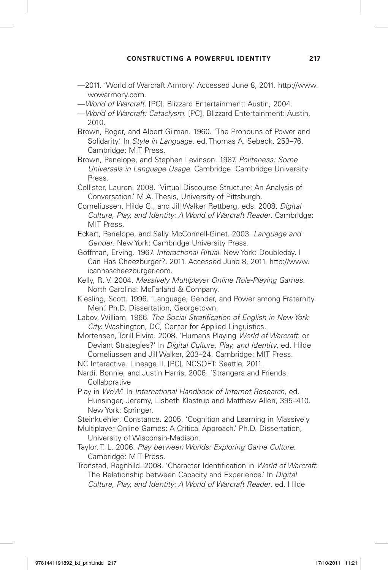- —2011. 'World of Warcraft Armory.' Accessed June 8, 2011. http://www. wowarmory.com.
- —*World of Warcraft.* [PC]. Blizzard Entertainment: Austin, 2004.
- —*World of Warcraft: Cataclysm*. [PC]. Blizzard Entertainment: Austin, 2010.
- Brown, Roger, and Albert Gilman. 1960. 'The Pronouns of Power and Solidarity.' In *Style in Language,* ed. Thomas A. Sebeok. 253–76. Cambridge: MIT Press.
- Brown, Penelope, and Stephen Levinson. 1987. *Politeness: Some Universals in Language Usage*. Cambridge: Cambridge University Press.
- Collister, Lauren. 2008. 'Virtual Discourse Structure: An Analysis of Conversation.' M.A. Thesis, University of Pittsburgh.
- Corneliussen, Hilde G., and Jill Walker Rettberg, eds. 2008. *Digital Culture, Play, and Identity: A World of Warcraft Reader*. Cambridge: MIT Press.
- Eckert, Penelope, and Sally McConnell-Ginet. 2003. *Language and Gender*. New York: Cambridge University Press.
- Goffman, Erving. 1967. *Interactional Ritual*. New York: Doubleday. I Can Has Cheezburger?*.* 2011. Accessed June 8, 2011. http://www. icanhascheezburger.com.
- Kelly, R. V. 2004. *Massively Multiplayer Online Role-Playing Games*. North Carolina: McFarland & Company.
- Kiesling, Scott. 1996. 'Language, Gender, and Power among Fraternity Men.' Ph.D. Dissertation, Georgetown.
- Labov, William. 1966. *The Social Stratification of English in New York City.* Washington, DC, Center for Applied Linguistics.
- Mortensen, Torill Elvira. 2008. 'Humans Playing *World of Warcraft*: or Deviant Strategies?' In *Digital Culture, Play, and Identity*, ed. Hilde Corneliussen and Jill Walker, 203–24. Cambridge: MIT Press.

NC Interactive. Lineage II. [PC]. NCSOFT: Seattle, 2011.

Nardi, Bonnie, and Justin Harris. 2006. 'Strangers and Friends: **Collaborative** 

Play in *WoW*.' In *International Handbook of Internet Research*, ed. Hunsinger, Jeremy, Lisbeth Klastrup and Matthew Allen, 395–410*.*  New York: Springer.

Steinkuehler, Constance. 2005. 'Cognition and Learning in Massively Multiplayer Online Games: A Critical Approach.' Ph.D. Dissertation,

University of Wisconsin-Madison.

- Taylor, T. L. 2006. *Play between Worlds: Exploring Game Culture*. Cambridge: MIT Press.
- Tronstad, Ragnhild. 2008. 'Character Identification in *World of Warcraft*: The Relationship between Capacity and Experience.' In *Digital Culture, Play, and Identity: A World of Warcraft Reader*, ed. Hilde